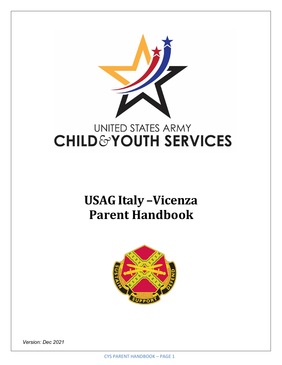

# **USAG Italy –Vicenza Parent Handbook**



*Version: Dec 2021*

CYS PARENT HANDBOOK – PAGE 1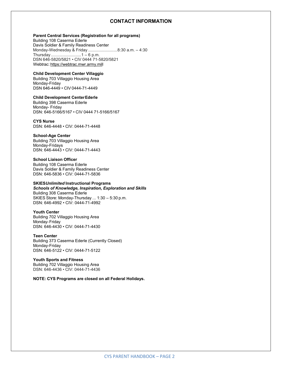#### **CONTACT INFORMATION**

#### **Parent Central Services (Registration for all programs)**

Building 108 Caserma Ederle Davis Soldier & Family Readiness Center Monday-Wednesday & Friday .........................8:30 a.m. – 4:30 Thursday ..........................1 – 6 p.m. DSN 646-5820/5821 • CIV 0444 71-5820/5821 Webtrac: https://webtrac.mwr.army.mill

#### **Child Development Center Villaggio**

Building 703 Villaggio Housing Area Monday-Friday DSN 646-4449 • CIV 0444-71-4449

#### **Child Development CenterEderle**

Building 398 Caserma Ederle Monday- Friday DSN: 646-5166/5167 • CIV 0444 71-5166/5167

#### **CYS Nurse**

DSN: 646-4448 • CIV: 0444-71-4448

#### **School-Age Center**

Building 703 Villaggio Housing Area Monday-Fridays DSN: 646-4443 • CIV: 0444-71-4443

#### **School Liaison Officer** Building 108 Caserma Ederle

Davis Soldier & Family Readiness Center DSN: 646-5836 • CIV: 0444-71-5836

#### **SKIES***Unlimited* **Instructional Programs**

*Schools of Knowledge, Inspiration, Exploration and Skills* Building 308 Caserma Ederle SKIES Store: Monday-Thursday ... 1:30 – 5:30 p.m. DSN: 646-4992 • CIV: 0444-71-4992

#### **Youth Center**

Building 702 Villaggio Housing Area Monday-Friday DSN: 646-4430 • CIV: 0444-71-4430

#### **Teen Center** Building 373 Caserma Ederle (Currently Closed) Monday-Friday DSN: 646-5122 • CIV: 0444-71-5122

**Youth Sports and Fitness** Building 702 Villaggio Housing Area DSN: 646-4436 • CIV: 0444-71-4436

**NOTE: CYS Programs are closed on all Federal Holidays.**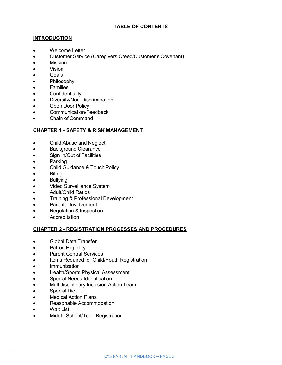# **TABLE OF CONTENTS**

# **INTRODUCTION**

- Welcome Letter
- Customer Service (Caregivers Creed/Customer's Covenant)
- Mission
- Vision
- Goals
- Philosophy
- **Families**
- **Confidentiality**
- Diversity/Non-Discrimination
- Open Door Policy
- Communication/Feedback
- Chain of Command

# **CHAPTER 1 - SAFETY & RISK MANAGEMENT**

- Child Abuse and Neglect
- Background Clearance
- Sign In/Out of Facilities
- Parking
- Child Guidance & Touch Policy
- **Biting**
- **Bullying**
- Video Surveillance System
- Adult/Child Ratios
- Training & Professional Development
- Parental Involvement
- Regulation & Inspection
- **Accreditation**

## **CHAPTER 2 - REGISTRATION PROCESSES AND PROCEDURES**

- Global Data Transfer
- **Patron Eligibility**
- Parent Central Services
- Items Required for Child/Youth Registration
- **Immunization**
- Health/Sports Physical Assessment
- Special Needs Identification
- Multidisciplinary Inclusion Action Team
- Special Diet
- **Medical Action Plans**
- Reasonable Accommodation
- Wait List
- Middle School/Teen Registration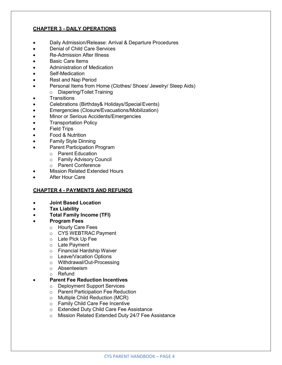# **CHAPTER 3 - DAILY OPERATIONS**

- Daily Admission/Release: Arrival & Departure Procedures
- Denial of Child Care Services
- Re-Admission After Illness
- **Basic Care Items**
- Administration of Medication
- Self-Medication
- Rest and Nap Period
- Personal Items from Home (Clothes/ Shoes/ Jewelry/ Sleep Aids)
	- o Diapering/Toilet Training
- **Transitions**
- Celebrations (Birthday& Holidays/Special Events)
- Emergencies (Closure/Evacuations/Mobilization)
- Minor or Serious Accidents/Emergencies
- Transportation Policy
- **Field Trips**
- Food & Nutrition
- Family Style Dinning
- Parent Participation Program
	- o Parent Education
	- o Family Advisory Council
	- o Parent Conference
- **Mission Related Extended Hours**
- After Hour Care

## **CHAPTER 4 - PAYMENTS AND REFUNDS**

- **Joint Based Location**
- **Tax Liability**
- **Total Family Income (TFI)**
- **Program Fees**
	- o Hourly Care Fees
	- o CYS WEBTRAC Payment
	- o Late Pick Up Fee
	- o Late Payment
	- o Financial Hardship Waiver
	- o Leave/Vacation Options
	- o Withdrawal/Out-Processing
	- o Absenteeism
	- o Refund

## • **Parent Fee Reduction Incentives**

- o Deployment Support Services
- o Parent Participation Fee Reduction
- o Multiple Child Reduction (MCR)
- o Family Child Care Fee Incentive
- o Extended Duty Child Care Fee Assistance
- o Mission Related Extended Duty 24/7 Fee Assistance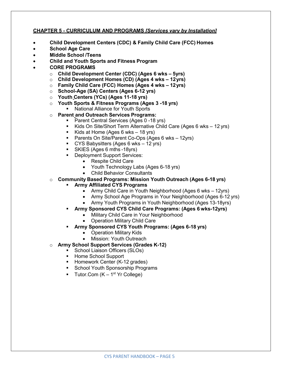# **CHAPTER 5 - CURRICULUM AND PROGRAMS** *[Services vary by Installation]*

- **Child Development Centers (CDC) & Family Child Care (FCC) Homes**
- **School Age Care**
- **Middle School /Teens**
- **Child and Youth Sports and Fitness Program**
- **CORE PROGRAMS**
	- o **Child Development Center (CDC) (Ages 6 wks – 5yrs)**
	- o **Child Development Homes (CD) (Ages 4 wks – 12yrs)**
	- o **Family Child Care (FCC) Homes (Ages 4 wks – 12yrs)**
	- o **School-Age (SA) Centers (Ages 6-12 yrs)**
	- o **Youth Centers (YCs) (Ages 11-18 yrs)**
	- o **Youth Sports & Fitness Programs (Ages 3 -18 yrs)**
		- **National Alliance for Youth Sports**
	- o **Parent and Outreach Services Programs:**
		- **Parent Central Services (Ages 0 -18 yrs)** 
			- Kids On Site/Short Term Alternative Child Care (Ages 6 wks 12 yrs)
			- Kids at Home (Ages 6 wks  $-18$  yrs)
			- **Parents On Site/Parent Co-Ops (Ages 6 wks 12yrs)**
			- CYS Babysitters (Ages 6 wks 12 yrs)
			- SKIES (Ages 6 mths -18yrs)
		- Deployment Support Services:
			- Respite Child Care
			- Youth Technology Labs (Ages 6-18 yrs)
			- Child Behavior Consultants
	- o **Community Based Programs: Mission Youth Outreach (Ages 6-18 yrs)**
		- **Army Affiliated CYS Programs**
			- Army Child Care in Youth Neighborhood (Ages 6 wks 12yrs)
			- Army School Age Programs in Your Neighborhood (Ages 6-12 yrs)
			- Army Youth Programs in Youth Neighborhood (Ages 13-18yrs)
		- **Army Sponsored CYS Child Care Programs: (Ages 6 wks-12yrs)**
			- Military Child Care in Your Neighborhood
			- Operation Military Child Care
			- **Army Sponsored CYS Youth Programs: (Ages 6-18 yrs)**
				- Operation Military Kids
				- Mission: Youth Outreach
	- o **Army School Support Services (Grades K-12)**
		- School Liaison Officers (SLOs)
		- **Home School Support**
		- Homework Center (K-12 grades)
		- School Youth Sponsorship Programs
		- Tutor.Com  $(K 1<sup>st</sup>$  Yr College)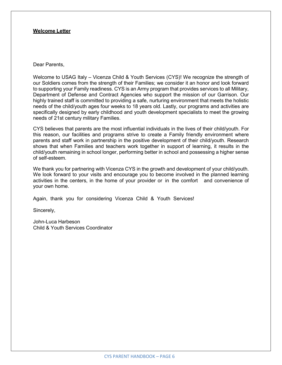#### **Welcome Letter**

#### Dear Parents,

Welcome to USAG Italy – Vicenza Child & Youth Services (CYS)! We recognize the strength of our Soldiers comes from the strength of their Families; we consider it an honor and look forward to supporting your Family readiness. CYS is an Army program that provides services to all Military, Department of Defense and Contract Agencies who support the mission of our Garrison. Our highly trained staff is committed to providing a safe, nurturing environment that meets the holistic needs of the child/youth ages four weeks to 18 years old. Lastly, our programs and activities are specifically designed by early childhood and youth development specialists to meet the growing needs of 21st century military Families.

CYS believes that parents are the most influential individuals in the lives of their child/youth. For this reason, our facilities and programs strive to create a Family friendly environment where parents and staff work in partnership in the positive development of their child/youth. Research shows that when Families and teachers work together in support of learning, it results in the child/youth remaining in school longer, performing better in school and possessing a higher sense of self-esteem.

We thank you for partnering with Vicenza CYS in the growth and development of your child/youth. We look forward to your visits and encourage you to become involved in the planned learning activities in the centers, in the home of your provider or in the comfort and convenience of your own home.

Again, thank you for considering Vicenza Child & Youth Services!

Sincerely,

John-Luca Harbeson Child & Youth Services Coordinator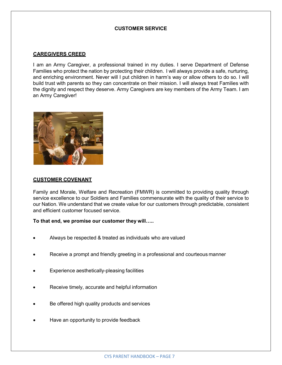# **CUSTOMER SERVICE**

## **CAREGIVERS CREED**

I am an Army Caregiver, a professional trained in my duties. I serve Department of Defense Families who protect the nation by protecting their children. I will always provide a safe, nurturing, and enriching environment. Never will I put children in harm's way or allow others to do so. I will build trust with parents so they can concentrate on their mission. I will always treat Families with the dignity and respect they deserve. Army Caregivers are key members of the Army Team. I am an Army Caregiver!



#### **CUSTOMER COVENANT**

Family and Morale, Welfare and Recreation (FMWR) is committed to providing quality through service excellence to our Soldiers and Families commensurate with the quality of their service to our Nation. We understand that we create value for our customers through predictable, consistent and efficient customer focused service.

**To that end, we promise our customer they will…..**

- Always be respected & treated as individuals who are valued
- Receive a prompt and friendly greeting in a professional and courteous manner
- Experience aesthetically-pleasing facilities
- Receive timely, accurate and helpful information
- Be offered high quality products and services
- Have an opportunity to provide feedback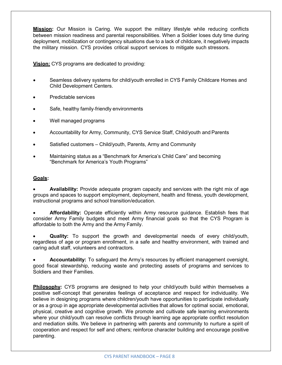**Mission:** Our Mission is Caring. We support the military lifestyle while reducing conflicts between mission readiness and parental responsibilities. When a Soldier loses duty time during deployment, mobilization or contingency situations due to a lack of childcare, it negatively impacts the military mission. CYS provides critical support services to mitigate such stressors.

**Vision:** CYS programs are dedicated to providing:

- Seamless delivery systems for child/youth enrolled in CYS Family Childcare Homes and Child Development Centers.
- Predictable services
- Safe, healthy family-friendly environments
- Well managed programs
- Accountability for Army, Community, CYS Service Staff, Child/youth and Parents
- Satisfied customers Child/youth, Parents, Army and Community
- Maintaining status as a "Benchmark for America's Child Care" and becoming "Benchmark for America's Youth Programs"

## **Goals:**

• **Availability:** Provide adequate program capacity and services with the right mix of age groups and spaces to support employment, deployment, health and fitness, youth development, instructional programs and school transition/education.

• **Affordability:** Operate efficiently within Army resource guidance. Establish fees that consider Army Family budgets and meet Army financial goals so that the CYS Program is affordable to both the Army and the Army Family.

• **Quality:** To support the growth and developmental needs of every child/youth, regardless of age or program enrollment, in a safe and healthy environment, with trained and caring adult staff, volunteers and contractors.

• **Accountability:** To safeguard the Army's resources by efficient management oversight, good fiscal stewardship, reducing waste and protecting assets of programs and services to Soldiers and their Families.

**Philosophy:** CYS programs are designed to help your child/youth build within themselves a positive self-concept that generates feelings of acceptance and respect for individuality. We believe in designing programs where children/youth have opportunities to participate individually or as a group in age appropriate developmental activities that allows for optimal social, emotional, physical, creative and cognitive growth. We promote and cultivate safe learning environments where your child/youth can resolve conflicts through learning age appropriate conflict resolution and mediation skills. We believe in partnering with parents and community to nurture a spirit of cooperation and respect for self and others; reinforce character building and encourage positive parenting.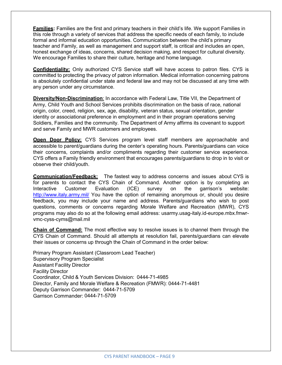**Families:** Families are the first and primary teachers in their child's life. We support Families in this role through a variety of services that address the specific needs of each family, to include formal and informal education opportunities. Communication between the child's primary teacher and Family, as well as management and support staff, is critical and includes an open, honest exchange of ideas, concerns, shared decision making, and respect for cultural diversity. We encourage Families to share their culture, heritage and home language.

**Confidentiality:** Only authorized CYS Service staff will have access to patron files. CYS is committed to protecting the privacy of patron information. Medical information concerning patrons is absolutely confidential under state and federal law and may not be discussed at any time with any person under any circumstance.

**Diversity/Non-Discrimination**: In accordance with Federal Law, Title VII, the Department of Army, Child Youth and School Services prohibits discrimination on the basis of race, national origin, color, creed, religion, sex, age, disability, veteran status, sexual orientation, gender identity or associational preference in employment and in their program operations serving Soldiers, Families and the community. The Department of Army affirms its covenant to support and serve Family and MWR customers and employees.

**Open Door Policy:** CYS Services program level staff members are approachable and accessible to parent/guardians during the center's operating hours. Parents/guardians can voice their concerns, complaints and/or compliments regarding their customer service experience. CYS offers a Family friendly environment that encourages parents/guardians to drop in to visit or observe their child/youth.

**Communication/Feedback:** The fastest way to address concerns and issues about CYS is for parents to contact the CYS Chain of Command. Another option is by completing an Interactive Customer Evaluation (ICE) survey on the garrison's website: <http://www.italy.army.mil/> You have the option of remaining anonymous or, should you desire feedback, you may include your name and address. Parents/guardians who wish to post questions, comments or concerns regarding Morale Welfare and Recreation (MWR), CYS programs may also do so at the following email address: [usarmy.usag-italy.id-europe.mbx.fmwr](mailto:usarmy.usag-italy.id-europe.mbx.fmwr-vmc-cyss-cyms@mail.mil)[vmc-cyss-cyms@mail.mil](mailto:europe.mbx.fmwr-vmc-cyss-cyms@mail.mil)

**Chain of Command:** The most effective way to resolve issues is to channel them through the CYS Chain of Command. Should all attempts at resolution fail, parents/guardians can elevate their issues or concerns up through the Chain of Command in the order below:

Primary Program Assistant (Classroom Lead Teacher) Supervisory Program Specialist Assistant Facility Director Facility Director Coordinator, Child & Youth Services Division: 0444-71-4985 Director, Family and Morale Welfare & Recreation (FMWR): 0444-71-4481 Deputy Garrison Commander: 0444-71-5709 Garrison Commander: 0444-71-5709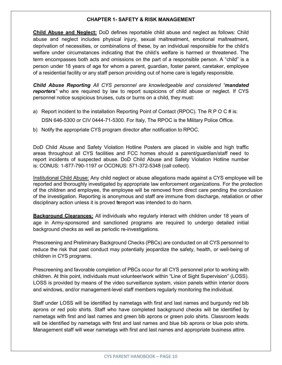#### **CHAPTER 1- SAFETY & RISK MANAGEMENT**

**Child Abuse and Neglect:** DoD defines reportable child abuse and neglect as follows: Child abuse and neglect includes physical injury, sexual maltreatment, emotional maltreatment, deprivation of necessities, or combinations of these, by an individual responsible for the child's welfare under circumstances indicating that the child's welfare is harmed or threatened. The term encompasses both acts and omissions on the part of a responsible person. A "child" is a person under 18 years of age for whom a parent, guardian, foster parent, caretaker, employee of a residential facility or any staff person providing out of home care is legally responsible.

*Child Abuse Reporting All CYS personnel are knowledgeable and considered "mandated* reporters<sup>"</sup> who are required by law to report suspicions of child abuse or neglect. If CYS personnel notice suspicious bruises, cuts or burns on a child, they must:

- a) Report incident to the installation Reporting Point of Contact (RPOC). The R P O C # is: DSN 646-5300 or CIV 0444-71-5300. For Italy, The RPOC is the Military Police Office.
- b) Notify the appropriate CYS program director after notification to RPOC.

DoD Child Abuse and Safety Violation Hotline Posters are placed in visible and high traffic areas throughout all CYS facilities and FCC homes should a parent/guardian/staff need to report incidents of suspected abuse. DoD Child Abuse and Safety Violation Hotline number is: CONUS: 1-877-790-1197 or OCONUS: 571-372-5348 (call collect).

Institutional Child Abuse: Any child neglect or abuse allegations made against a CYS employee will be reported and thoroughly investigated by appropriate law enforcement organizations. For the protection of the children and employee, the employee will be removed from direct care pending the conclusion of the investigation. Reporting is anonymous and staff are immune from discharge, retaliation or other disciplinary action unless it is proved tereport was intended to do harm.

**Background Clearances:** All individuals who regularly interact with children under 18 years of age in Army-sponsored and sanctioned programs are required to undergo detailed initial background checks as well as periodic re-investigations.

Prescreening and Preliminary Background Checks (PBCs) are conducted on all CYS personnel to reduce the risk that past conduct may potentially jeopardize the safety, health, or well-being of children in CYS programs.

Prescreening and favorable completion of PBCs occur for all CYS personnel prior to working with children. At this point, individuals must volunteer/work within "Line of Sight Supervision" (LOSS). LOSS is provided by means of the video surveillance system, vision panels within interior doors and windows, and/or management-level staff members regularly monitoring the individual.

Staff under LOSS will be identified by nametags with first and last names and burgundy red bib aprons or red polo shirts. Staff who have completed background checks will be identified by nametags with first and last names and green bib aprons or green polo shirts. Classroom leads will be identified by nametags with first and last names and blue bib aprons or blue polo shirts. Management staff will wear nametags with first and last names and appropriate business attire.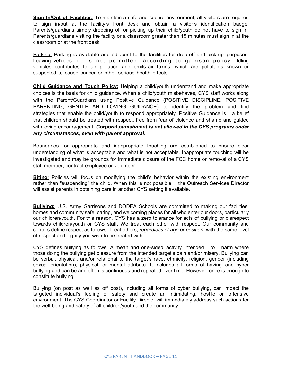**Sign In/Out of Facilities**: To maintain a safe and secure environment, all visitors are required to sign in/out at the facility's front desk and obtain a visitor's identification badge. Parents/guardians simply dropping off or picking up their child/youth do not have to sign in. Parents/guardians visiting the facility or a classroom greater than 15 minutes must sign in at the classroom or at the front desk.

Parking: Parking is available and adjacent to the facilities for drop-off and pick-up purposes. Leaving vehicles idle is not permitted, according to garrison policy. Idling vehicles contributes to air pollution and emits air toxins, which are pollutants known or suspected to cause cancer or other serious health effects.

**Child Guidance and Touch Policy:** Helping a child/youth understand and make appropriate choices is the basis for child guidance. When a child/youth misbehaves, CYS staff works along with the Parent/Guardians using Positive Guidance (POSITIVE DISCIPLINE, POSITIVE PARENTING, GENTLE AND LOVING GUIDANCE) to identify the problem and find strategies that enable the child/youth to respond appropriately. Positive Guidance is a belief that children should be treated with respect, free from fear of violence and shame and guided with loving encouragement. *Corporal punishment is not allowed in the CYS programs under any circumstances, even with parent approval.*

Boundaries for appropriate and inappropriate touching are established to ensure clear understanding of what is acceptable and what is not acceptable. Inappropriate touching will be investigated and may be grounds for immediate closure of the FCC home or removal of a CYS staff member, contract employee or volunteer.

**Biting:** Policies will focus on modifying the child's behavior within the existing environment rather than "suspending" the child. When this is not possible, the Outreach Services Director will assist parents in obtaining care in another CYS setting if available.

**Bullying:** U.S. Army Garrisons and DODEA Schools are committed to making our facilities, homes and community safe, caring, and welcoming places for all who enter our doors, particularly our children/youth. For this reason, CYS has a zero tolerance for acts of bullying or disrespect towards children/youth or CYS staff. We treat each other with respect. Our community and centers define respect as follows: Treat others, *regardless of age or position*, with the same level of respect and dignity you wish to be treated with.

CYS defines bullying as follows: A mean and one-sided activity intended to harm where those doing the bullying get pleasure from the intended target's pain and/or misery. Bullying can be verbal, physical, and/or relational to the target's race, ethnicity, religion, gender (including sexual orientation), physical, or mental attribute. It includes all forms of hazing and cyber bullying and can be and often is continuous and repeated over time. However, once is enough to constitute bullying.

Bullying (on post as well as off post), including all forms of cyber bullying, can impact the targeted individual's feeling of safety and create an intimidating, hostile or offensive environment. The CYS Coordinator or Facility Director will immediately address such actions for the well-being and safety of all children/youth and the community.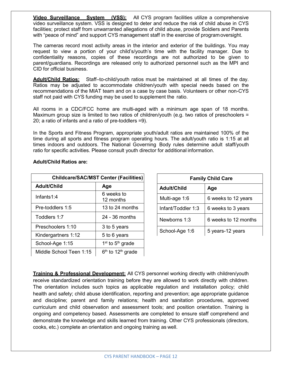**Video Surveillance System (VSS):** All CYS program facilities utilize a comprehensive video surveillance system. VSS is designed to deter and reduce the risk of child abuse in CYS facilities; protect staff from unwarranted allegations of child abuse, provide Soldiers and Parents with "peace of mind" and support CYS management staff in the exercise of programoversight.

The cameras record most activity areas in the interior and exterior of the buildings. You may request to view a portion of your child's/youth's time with the facility manager. Due to confidentiality reasons, copies of these recordings are not authorized to be given to parent/guardians. Recordings are released only to authorized personnel such as the MPI and CID for official business.

**Adult/Child Ratios:** Staff–to-child/youth ratios must be maintained at all times of the day. Ratios may be adjusted to accommodate children/youth with special needs based on the recommendations of the MIAT team and on a case by case basis. Volunteers or other non-CYS staff not paid with CYS funding may be used to supplement the ratio.

All rooms in a CDC/FCC home are multi-aged with a minimum age span of 18 months. Maximum group size is limited to two ratios of children/youth (e.g. two ratios of preschoolers  $=$ 20; a ratio of infants and a ratio of pre-toddlers =9).

In the Sports and Fitness Program, appropriate youth/adult ratios are maintained 100% of the time during all sports and fitness program operating hours. The adult/youth ratio is 1:15 at all times indoors and outdoors. The National Governing Body rules determine adult staff/youth ratio for specific activities. Please consult youth director for additional information.

| <b>Childcare/SAC/MST Center (Facilities)</b> |                                 |
|----------------------------------------------|---------------------------------|
| Adult/Child                                  | Age                             |
| Infants $1:4$                                | 6 weeks to<br>12 months         |
| Pre-toddlers 1:5                             | 13 to 24 months                 |
| Toddlers 1:7                                 | $24 - 36$ months                |
| Preschoolers 1:10                            | 3 to 5 years                    |
| Kindergartners 1:12                          | 5 to 6 years                    |
| School-Age 1:15                              | $1st$ to $5th$ grade            |
| Middle School Teen 1:15                      | $6th$ to 12 <sup>th</sup> grade |

## **Adult/Child Ratios are:**

| <b>Family Child Care</b> |                      |  |
|--------------------------|----------------------|--|
| <b>Adult/Child</b>       | Age                  |  |
| Multi-age 1:6            | 6 weeks to 12 years  |  |
| Infant/Toddler 1:3       | 6 weeks to 3 years   |  |
| Newborns 1:3             | 6 weeks to 12 months |  |
| School-Age 1:6           | 5 years-12 years     |  |

**Training & Professional Development:** All CYS personnel working directly with children/youth receive standardized orientation training before they are allowed to work directly with children. The orientation includes such topics as applicable regulation and installation policy; child health and safety; child abuse identification, reporting and prevention; age appropriate guidance and discipline; parent and family relations; health and sanitation procedures, approved curriculum and child observation and assessment tools; and position orientation. Training is ongoing and competency based. Assessments are completed to ensure staff comprehend and demonstrate the knowledge and skills learned from training. Other CYS professionals (directors, cooks, etc.) complete an orientation and ongoing training as well.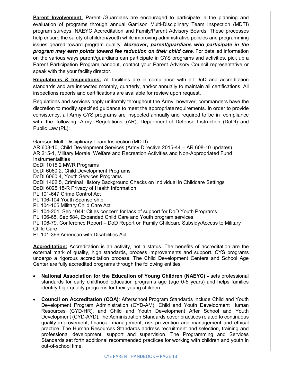**Parent Involvement:** Parent /Guardians are encouraged to participate in the planning and evaluation of programs through annual Garrison Multi-Disciplinary Team Inspection (MDTI) program surveys, NAEYC Accreditation and Family/Parent Advisory Boards. These processes help ensure the safety of children/youth while improving administrative policies and programming issues geared toward program quality. *Moreover, parent/guardians who participate in the program may earn points toward fee reduction on their child care*. For detailed information on the various ways parent/guardians can participate in CYS programs and activities, pick up a Parent Participation Program handout, contact your Parent Advisory Council representative or speak with the your facility director.

**Regulations & Inspections:** All facilities are in compliance with all DoD and accreditation standards and are inspected monthly, quarterly, and/or annually to maintain all certifications. All inspections reports and certifications are available for review upon request.

Regulations and services apply uniformly throughout the Army; however, commanders have the discretion to modify specified guidance to meet the appropriate requirements. In order to provide consistency, all Army CYS programs are inspected annually and required to be in compliance with the following Army Regulations (AR), Department of Defense Instruction (DoDI) and Public Law (PL):

Garrison Multi-Disciplinary Team Inspection (MDTI)

AR 608-10, Child Development Services (Army Directive 2015-44 – AR 608-10 updates) AR 215-1, Military Morale, Welfare and Recreation Activities and Non-Appropriated Fund **Instrumentalities** 

DoDI 1015.2 MWR Programs

DoDI 6060.2, Child Development Programs

DoDI 6060.4, Youth Services Programs

DoDI 1402.5, Criminal History Background Checks on Individual in Childcare Settings

DoDI 6025.18-R Privacy of Health Information

PL 101-647 Crime Control Act

PL 106-104 Youth Sponsorship

PL 104-106 Military Child Care Act

PL 104-201, Sec 1044: Cities concern for lack of support for DoD Youth Programs

PL 106-65, Sec 584, Expanded Child Care and Youth program services

PL 106-79, Conference Report – DoD Report on Family Childcare Subsidy/Access to Military Child Care

PL 101-366 American with Disabilities Act

**Accreditation:** Accreditation is an activity, not a status. The benefits of accreditation are the external mark of quality, high standards, process improvements and support. CYS programs undergo a rigorous accreditation process. The Child Development Centers and School Age Center are fully accredited programs through the following entities:

- **National Association for the Education of Young Children (NAEYC) -** sets professional standards for early childhood education programs age (age 0-5 years) and helps families identify high-quality programs for their young children.
- **Council on Accreditation (COA)**: Afterschool Program Standards include Child and Youth Development Program Administration (CYD-AM), Child and Youth Development Human Resources (CYD-HR), and Child and Youth Development After School and Youth Development (CYD-AYD).The Administration Standards cover practices related to continuous quality improvement, financial management, risk prevention and management and ethical practice. The Human Resources Standards address recruitment and selection, training and professional development, support and supervision. The Programming and Services Standards set forth additional recommended practices for working with children and youth in out-of-school time.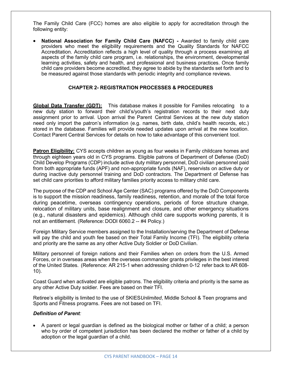The Family Child Care (FCC) homes are also eligible to apply for accreditation through the following entity:

• **National Association for Family Child Care (NAFCC) -** Awarded to family child care providers who meet the eligibility requirements and the Quality Standards for NAFCC Accreditation. Accreditation reflects a high level of quality through a process examining all aspects of the family child care program, i.e. relationships, the environment, developmental learning activities, safety and health, and professional and business practices. Once family child care providers become accredited, they agree to abide by the standards set forth and to be measured against those standards with periodic integrity and compliance reviews.

## **CHAPTER 2- REGISTRATION PROCESSES & PROCEDURES**

**Global Data Transfer (GDT):** This database makes it possible for Families relocating to a new duty station to forward their child's/youth's registration records to their next duty assignment prior to arrival. Upon arrival the Parent Central Services at the new duty station need only import the patron's information (e.g. names, birth date, child's health records, etc.) stored in the database. Families will provide needed updates upon arrival at the new location. Contact Parent Central Services for details on how to take advantage of this convenient tool.

**Patron Eligibility:** CYS accepts children as young as four weeks in Family childcare homes and through eighteen years old in CYS programs. Eligible patrons of Department of Defense (DoD) Child Develop Programs (CDP) include active duty military personnel, DoD civilian personnel paid from both appropriate funds (APF) and non-appropriate funds (NAF), reservists on active duty or during inactive duty personnel training and DoD contractors. The Department of Defense has set child care priorities to afford military families priority access to military child care.

The purpose of the CDP and School Age Center (SAC) programs offered by the DoD Components is to support the mission readiness, family readiness, retention, and morale of the total force during peacetime, overseas contingency operations, periods of force structure change, relocation of military units, base realignment and closure, and other emergency situations (e.g., natural disasters and epidemics). Although child care supports working parents, it is not an entitlement. (Reference: DODI 6060.2 -- #4 Policy.)

Foreign Military Service members assigned to the Installation/serving the Department of Defense will pay the child and youth fee based on their Total Family Income (TFI). The eligibility criteria and priority are the same as any other Active Duty Soldier or DoD Civilian.

Military personnel of foreign nations and their Families when on orders from the U.S. Armed Forces, or in overseas areas when the overseas commander grants privileges in the best interest of the United States. (Reference: AR 215-1 when addressing children 0-12 refer back to AR 608- 10).

Coast Guard when activated are eligible patrons. The eligibility criteria and priority is the same as any other Active Duty soldier. Fees are based on their TFI.

Retiree's eligibility is limited to the use of SKIES*Unlimited*, Middle School & Teen programs and Sports and Fitness programs. Fees are not based on TFI.

#### *Definition of Parent:*

• A parent or legal guardian is defined as the biological mother or father of a child; a person who by order of competent jurisdiction has been declared the mother or father of a child by adoption or the legal guardian of a child.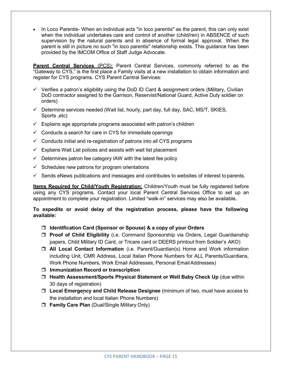• In Loco Parentis- When an individual acts "in loco parentis" as the parent, this can only exist when the individual undertakes care and control of another (child/ren) in ABSENCE of such supervision by the natural parents and in absence of formal legal approval. When the parent is still in picture no such "in loco parentis" relationship exists. This guidance has been provided by the IMCOM Office of Staff Judge Advocate.

**Parent Central Services** (PCS): Parent Central Services, commonly referred to as the "Gateway to CYS," is the first place a Family visits at a new installation to obtain information and register for CYS programs. CYS Parent Central Services:

- $\checkmark$  Verifies a patron's eligibility using the DoD ID Card & assignment orders (Military, Civilian DoD contractor assigned to the Garrison, Reservist/National Guard, Active Duty soldier on orders)
- $\checkmark$  Determine services needed (Wait list, hourly, part day, full day, SAC, MS/T, SKIES, Sports ,etc)
- $\checkmark$  Explains age appropriate programs associated with patron's children
- $\checkmark$  Conducts a search for care in CYS for immediate openings
- $\checkmark$  Conducts initial and re-registration of patrons into all CYS programs
- $\checkmark$  Explains Wait List polices and assists with wait list placement
- $\checkmark$  Determines patron fee category IAW with the latest fee policy
- $\checkmark$  Schedules new patrons for program orientations
- $\checkmark$  Sends eNews publications and messages and contributes to websites of interest to parents.

**Items Required for Child/Youth Registration:** Children/Youth must be fully registered before using any CYS programs. Contact your local Parent Central Services Office to set up an appointment to complete your registration. Limited "walk-in" services may also be available**.**

## **To expedite or avoid delay of the registration process, please have the following available:**

- **Identification Card (Sponsor or Spouse) & a copy of your Orders**
- **Proof of Child Eligibility** (i.e. Command Sponsorship via Orders, Legal Guardianship papers, Child Military ID Card, or Tricare card or DEERS printout from Soldier's AKO)
- **All Local Contact Information** (i.e. Parent/Guardian(s) Home and Work information including Unit, CMR Address, Local Italian Phone Numbers for ALL Parents/Guardians, Work Phone Numbers, Work Email Addresses, Personal EmailAddresses)
- **Immunization Record or transcription**
- **Health Assessment/Sports Physical Statement or Well Baby Check Up** (due within 30 days of registration)
- **Local Emergency and Child Release Designee** (minimum of two, must have access to the installation and local Italian Phone Numbers)
- **Family Care Plan** (Dual/Single Military Only)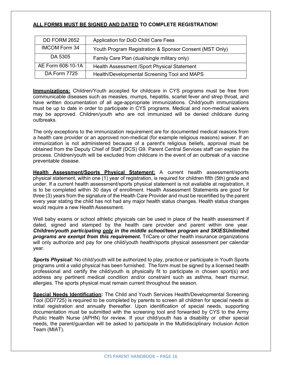# **ALL FORMS MUST BE SIGNED AND DATED TO COMPLETE REGISTRATION!**

| DD FORM 2652         | Application for DoD Child Care Fees                     |
|----------------------|---------------------------------------------------------|
| <b>IMCOM Form 34</b> | Youth Program Registration & Sponsor Consent (MST Only) |
| DA 5305              | Family Care Plan (dual/single military only)            |
| AE Form 608-10-1A    | Health Assessment / Sport Physical Statement            |
| <b>DA Form 7725</b>  | Health/Developmental Screening Tool and MAPS            |

**Immunizations:** Children/Youth accepted for childcare in CYS programs must be free from communicable diseases such as measles, mumps, hepatitis, scarlet fever and strep throat, and have written documentation of all age-appropriate immunizations. Child/youth immunizations must be up to date in order to participate in CYS programs. Medical and non-medical waivers may be approved. Children/youth who are not immunized will be denied childcare during outbreaks.

The only exceptions to the immunization requirement are for documented medical reasons from a health care provider or an approved non-medical (for example religious reasons) waiver. If an immunization is not administered because of a parent's religious beliefs, approval must be obtained from the Deputy Chief of Staff (DCS) G9. Parent Central Services staff can explain the process. Children/youth will be excluded from childcare in the event of an outbreak of a vaccine preventable disease.

**Health Assessment/Sports Physical Statement:** A current health assessment/sports physical statement, within one (1) year of registration, is required for children fifth (5th) grade and under. If a current health assessment/sports physical statement is not available at registration, it is to be completed within 30 days of enrollment. Health Assessment Statements are good for three (3) years from the signature of the Health Care Provider and must be recertified by the parent every year stating the child has not had any major health status changes. Health status changes would require a new Health Assessment.

Well baby exams or school athletic physicals can be used in place of the health assessment if dated, signed and stamped by the health care provider and parent within one year. *Children/youth participating only in the middle school/teen program and SKIESUnlimited programs are exempt from this requirement.* TriCare or other health insurance organizations will only authorize and pay for one child/youth health/sports physical assessment per calendar year.

*Sports Physical***:** No child/youth will be authorized to play, practice or participate in Youth Sports programs until a valid physical has been furnished. The form must be signed by a licensed health professional and certify the child/youth is physically fit to participate in chosen sport(s) and address any pertinent medical condition and/or constraint such as asthma, heart murmur, allergies. The sports physical must remain current throughout the season.

**Special Needs Identification:** The Child and Youth Services Health/Developmental Screening Tool (DD7725) is required to be completed by parents to screen all children for special needs at initial registration and annually thereafter. Upon identification of special needs, supporting documentation must be submitted with the screening tool and forwarded by CYS to the Army Public Health Nurse (APHN) for review. If your child/youth has a disability or other special needs, the parent/guardian will be asked to participate in the Multidisciplinary Inclusion Action Team (MIAT).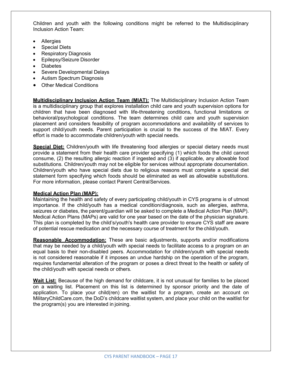Children and youth with the following conditions might be referred to the Multidisciplinary Inclusion Action Team:

- **Allergies**
- Special Diets
- **Respiratory Diagnosis**
- Epilepsy/Seizure Disorder
- Diabetes
- Severe Developmental Delays
- Autism Spectrum Diagnosis
- Other Medical Conditions

**Multidisciplinary Inclusion Action Team (MIAT):** The Multidisciplinary Inclusion Action Team is a multidisciplinary group that explores installation child care and youth supervision options for children that have been diagnosed with life-threatening conditions, functional limitations or behavioral/psychological conditions. The team determines child care and youth supervision placement and considers feasibility of program accommodations and availability of services to support child/youth needs. Parent participation is crucial to the success of the MIAT. Every effort is made to accommodate children/youth with special needs.

**Special Diet:** Children/youth with life threatening food allergies or special dietary needs must provide a statement from their health care provider specifying (1) which foods the child cannot consume, (2) the resulting allergic reaction if ingested and (3) if applicable, any allowable food substitutions. Children/youth may not be eligible for services without appropriate documentation. Children/youth who have special diets due to religious reasons must complete a special diet statement form specifying which foods should be eliminated as well as allowable substitutions. For more information, please contact Parent CentralServices.

## **Medical Action Plan (MAP):**

Maintaining the health and safety of every participating child/youth in CYS programs is of utmost importance. If the child/youth has a medical condition/diagnosis, such as allergies, asthma, seizures or diabetes, the parent/guardian will be asked to complete a Medical Action Plan (MAP). Medical Action Plans (MAPs) are valid for one year based on the date of the physician signature. This plan is completed by the child's/youth's health care provider to ensure CYS staff are aware of potential rescue medication and the necessary course of treatment for the child/youth.

**Reasonable Accommodation:** These are basic adjustments, supports and/or modifications that may be needed by a child/youth with special needs to facilitate access to a program on an equal basis to their non-disabled peers. Accommodation for children/youth with special needs is not considered reasonable if it imposes an undue hardship on the operation of the program, requires fundamental alteration of the program or poses a direct threat to the health or safety of the child/youth with special needs or others.

**Wait List:** Because of the high demand for childcare, it is not unusual for families to be placed on a waiting list. Placement on this list is determined by sponsor priority and the date of application. To place your child(ren) on the waitlist for a program, create an account on MilitaryChildCare.com, the DoD's childcare waitlist system, and place your child on the waitlist for the program(s) you are interested in joining.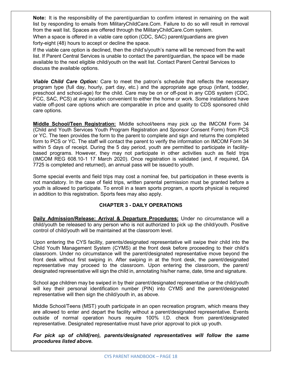**Note:** It is the responsibility of the parent/guardian to confirm interest in remaining on the wait list by responding to emails from MilitaryChildCare.Com. Failure to do so will result in removal from the wait list. Spaces are offered through the MilitaryChildCare.Com system.

When a space is offered in a viable care option (CDC, SAC) parent/guardians are given forty-eight (48) hours to accept or decline the space.

If the viable care option is declined, then the child's/youth's name will be removed from the wait list. If Parent Central Services is unable to contact the parent/guardian, the space will be made available to the next eligible child/youth on the wait list. Contact Parent Central Services to discuss the available options.

*Viable Child Care Option:* Care to meet the patron's schedule that reflects the necessary program type (full day, hourly, part day, etc.) and the appropriate age group (infant, toddler, preschool and school-age) for the child. Care may be on or off-post in any CDS system (CDC, FCC, SAC, PCS) at any location convenient to either the home or work. Some installations have viable off-post care options which are comparable in price and quality to CDS sponsored child care options.

**Middle School/Teen Registration:** Middle school/teens may pick up the IMCOM Form 34 (Child and Youth Services Youth Program Registration and Sponsor Consent Form) from PCS or YC. The teen provides the form to the parent to complete and sign and returns the completed form to PCS or YC. The staff will contact the parent to verify the information on IMCOM Form 34 within 5 days of receipt. During the 5 day period, youth are permitted to participate in facilitybased programs. However, they may not participate in other activities such as field trips (IMCOM REG 608.10-1 17 March 2020). Once registration is validated (and, if required, DA 7725 is completed and returned), an annual pass will be issued to youth.

Some special events and field trips may cost a nominal fee, but participation in these events is not mandatory. In the case of field trips, written parental permission must be granted before a youth is allowed to participate. To enroll in a team sports program, a sports physical is required in addition to this registration. Sports fees may also apply.

## **CHAPTER 3 - DAILY OPERATIONS**

**Daily Admission/Release: Arrival & Departure Procedures:** Under no circumstance will a child/youth be released to any person who is not authorized to pick up the child/youth. Positive control of child/youth will be maintained at the classroom level.

Upon entering the CYS facility, parents/designated representative will swipe their child into the Child Youth Management System (CYMS) at the front desk before proceeding to their child's classroom. Under no circumstance will the parent/designated representative move beyond the front desk without first swiping in. After swiping in at the front desk, the parent/designated representative may proceed to the classroom. Upon entering the classroom, the parent/ designated representative will sign the child in, annotating his/her name, date, time and signature.

School age children may be swiped in by their parent/designated representative or the child/youth will key their personal identification number (PIN) into CYMS and the parent/designated representative will then sign the child/youth in, as above.

Middle School/Teens (MST) youth participate in an open recreation program, which means they are allowed to enter and depart the facility without a parent/designated representative. Events outside of normal operation hours require 100% I.D. check from parent/designated representative. Designated representative must have prior approval to pick up youth.

*For pick up of child(ren), parents/designated representatives will follow the same procedures listed above.*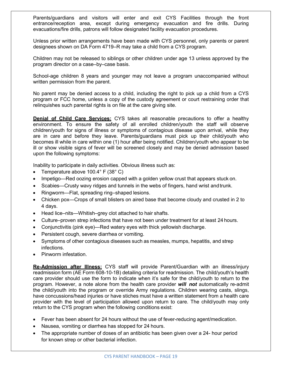Parents/guardians and visitors will enter and exit CYS Facilities through the front entrance/reception area, except during emergency evacuation and fire drills. During evacuations/fire drills, patrons will follow designated facility evacuation procedures.

Unless prior written arrangements have been made with CYS personnel, only parents or parent designees shown on DA Form 4719–R may take a child from a CYS program.

Children may not be released to siblings or other children under age 13 unless approved by the program director on a case–by–case basis.

School-age children 8 years and younger may not leave a program unaccompanied without written permission from the parent.

No parent may be denied access to a child, including the right to pick up a child from a CYS program or FCC home, unless a copy of the custody agreement or court restraining order that relinquishes such parental rights is on file at the care giving site.

**Denial of Child Care Services:** CYS takes all reasonable precautions to offer a healthy environment. To ensure the safety of all enrolled children/youth the staff will observe children/youth for signs of illness or symptoms of contagious disease upon arrival, while they are in care and before they leave. Parents/guardians must pick up their child/youth who becomes ill while in care within one (1) hour after being notified. Children/youth who appear to be ill or show visible signs of fever will be screened closely and may be denied admission based upon the following symptoms:

Inability to participate in daily activities. Obvious illness such as:

- Temperature above 100.4° F (38° C)
- Impetigo—Red oozing erosion capped with a golden yellow crust that appears stuck on.
- Scabies—Crusty wavy ridges and tunnels in the webs of fingers, hand wrist andtrunk.
- Ringworm—Flat, spreading ring–shaped lesions.
- Chicken pox—Crops of small blisters on aired base that become cloudy and crusted in 2 to 4 days.
- Head lice–nits—Whitish–grey clot attached to hair shafts.
- Culture–proven strep infections that have not been under treatment for at least 24 hours.
- Conjunctivitis (pink eye)—Red watery eyes with thick yellowish discharge.
- Persistent cough, severe diarrhea or vomiting.
- Symptoms of other contagious diseases such as measles, mumps, hepatitis, and strep infections.
- Pinworm infestation.

**Re-Admission after Illness:** CYS staff will provide Parent/Guardian with an illness/injury readmission form (AE Form 608-10-1B) detailing criteria for readmission. The child/youth's health care provider should use the form to indicate when it's safe for the child/youth to return to the program. However, a note alone from the health care provider *will not* automatically re-admit the child/youth into the program or override Army regulations. Children wearing casts, slings, have concussions/head injuries or have stiches must have a written statement from a health care provider with the level of participation allowed upon return to care. The child/youth may only return to the CYS program when the following conditions exist:

- Fever has been absent for 24 hours without the use of fever-reducing agent/medication.
- Nausea, vomiting or diarrhea has stopped for 24 hours.
- The appropriate number of doses of an antibiotic has been given over a 24- hour period for known strep or other bacterial infection.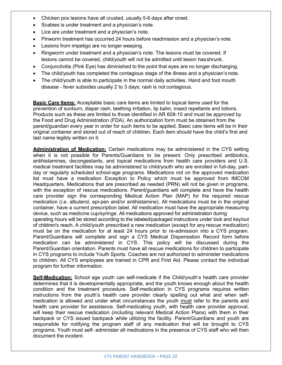- Chicken pox lesions have all crusted, usually 5-6 days after onset.
- Scabies is under treatment and a physician's note.
- Lice are under treatment and a physician's note.
- Pinworm treatment has occurred 24 hours before readmission and a physician's note.
- Lesions from impetigo are no longer weeping.
- Ringworm under treatment and a physician's note. The lesions must be covered. If lesions cannot be covered, child/youth will not be admitted until lesion hasshrunk.
- Conjunctivitis (Pink Eye) has diminished to the point that eyes are no longer discharging.
- The child/youth has completed the contagious stage of the illness and a physician's note.
- The child/youth is able to participate in the normal daily activities. Hand and foot mouth disease - fever subsides usually 2 to 3 days; rash is not contagious.

**Basic Care Items:** Acceptable basic care items are limited to topical items used for the prevention of sunburn, diaper rash, teething irritation, lip balm, insect repellants and lotions. Products such as these are limited to those identified in AR 608-10 and must be approved by the Food and Drug Administration (FDA). An authorization form must be obtained from the parent/guardian every year in order for such items to be applied. Basic care items will be in their original container and stored out of reach of children. Each item should have the child's first and last name legibly written on it.

**Administration of Medication:** Certain medications may be administered in the CYS setting when it is not possible for Parents/Guardians to be present. Only prescribed antibiotics, antihistamines, decongestants, and topical medications from health care providers and U.S. medical treatment facilities may be administered to child/youth who are enrolled in full-day, partday or regularly scheduled school-age programs. Medications not on the approved medication list must have a medication Exception to Policy which must be approved from IMCOM Headquarters. Medications that are prescribed as needed (PRN) will not be given in programs, with the exception of rescue medications. Parent/guardians will complete and have the health care provider sign the corresponding Medical Action Plan (MAP) for the required rescue medication (i.e. albuterol, epi-pen and/or antihistamine). All medications must be in the original container, have a current prescription label. All medication must have the appropriate measuring device, such as medicine cup/syringe. All medications approved for administration during operating hours will be stored according to the labeled/packaged instructions under lock and key/out of children's reach. A child/youth prescribed a new medication (except for any rescue medication) must be on the medication for at least 24 hours prior to re-admission into a CYS program. Parent/Guardians will complete and sign a CYS Medical Dispensation Record form before medication can be administered in CYS. This policy will be discussed during the Parent/Guardian orientation. Parents must have all rescue medications for children to participate in CYS programs to include Youth Sports. Coaches are not authorized to administer medications to children. All CYS employees are trained in CPR and First Aid. Please contact the individual program for further information.

**Self-Medication:** School age youth can self-medicate if the Child/youth's health care provider determines that it is developmentally appropriate, and the youth knows enough about the health condition and the treatment procedure. Self-medication in CYS programs requires written instructions from the youth's health care provider clearly spelling out what and when selfmedication is allowed and under what circumstances the youth must refer to the parents and health care provider for assistance. Self-medicating youth, with health care provider approval, will keep their rescue medication (including relevant Medical Action Plans) with them in their backpack or CYS issued backpack while utilizing the facility. Parent/Guardians and youth are responsible for notifying the program staff of any medication that will be brought to CYS programs. Youth must self- administer all medications in the presence of CYS staff who will then document the incident.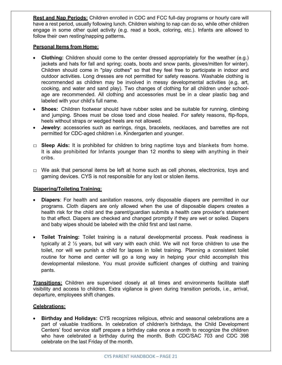**Rest and Nap Periods:** Children enrolled in CDC and FCC full-day programs or hourly care will have a rest period, usually following lunch. Children wishing to nap can do so, while other children engage in some other quiet activity (e.g. read a book, coloring, etc.). Infants are allowed to follow their own resting/napping patterns**.**

#### **Personal Items from Home:**

- **Clothing:** Children should come to the center dressed appropriately for the weather (e.g.) jackets and hats for fall and spring; coats, boots and snow pants, gloves/mitten for winter). Children should come in "play clothes" so that they feel free to participate in indoor and outdoor activities. Long dresses are not permitted for safety reasons. Washable clothing is recommended as children may be involved in messy developmental activities (e.g. art, cooking, and water and sand play). Two changes of clothing for all children under schoolage are recommended. All clothing and accessories must be in a clear plastic bag and labeled with your child's full name.
- **Shoes:** Children footwear should have rubber soles and be suitable for running, climbing and jumping. Shoes must be close toed and close healed. For safety reasons, flip-flops, heels without straps or wedged heels are not allowed.
- **Jewelry**: accessories such as earrings, rings, bracelets, necklaces, and barrettes are not permitted for CDC-aged children i.e. Kindergarten and younger.
- □ **Sleep Aids:** It is prohibited for children to bring naptime toys and blankets from home. It is also prohibited for Infants younger than 12 months to sleep with anything in their cribs.
- $\Box$  We ask that personal items be left at home such as cell phones, electronics, toys and gaming devices. CYS is not responsible for any lost or stolen items.

## **Diapering/Toileting Training:**

- **Diapers**: For health and sanitation reasons, only disposable diapers are permitted in our programs. Cloth diapers are only allowed when the use of disposable diapers creates a health risk for the child and the parent/guardian submits a health care provider's statement to that effect. Diapers are checked and changed promptly if they are wet or soiled. Diapers and baby wipes should be labeled with the child first and last name.
- **Toilet Training:** Toilet training is a natural developmental process. Peak readiness is typically at 2 ½ years, but will vary with each child. We will not force children to use the toilet, nor will we punish a child for lapses in toilet training. Planning a consistent toilet routine for home and center will go a long way in helping your child accomplish this developmental milestone. You must provide sufficient changes of clothing and training pants.

**Transitions:** Children are supervised closely at all times and environments facilitate staff visibility and access to children. Extra vigilance is given during transition periods, i.e., arrival, departure, employees shift changes.

## **Celebrations:**

• **Birthday and Holidays:** CYS recognizes religious, ethnic and seasonal celebrations are a part of valuable traditions. In celebration of children's birthdays, the Child Development Centers' food service staff prepare a birthday cake once a month to recognize the children who have celebrated a birthday during the month. Both CDC/SAC 703 and CDC 398 celebrate on the last Friday of the month.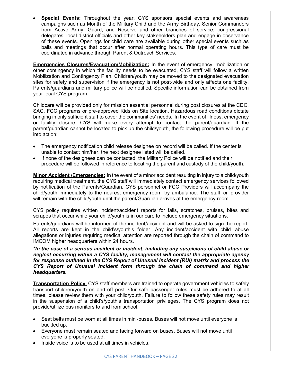• **Special Events:** Throughout the year, CYS sponsors special events and awareness campaigns such as Month of the Military Child and the Army Birthday. Senior Commanders from Active Army, Guard, and Reserve and other branches of service; congressional delegates, local district officials and other key stakeholders plan and engage in observance of these events. Openings for child care are available during other special events such as balls and meetings that occur after normal operating hours. This type of care must be coordinated in advance through Parent & Outreach Services.

**Emergencies Closures/Evacuation/Mobilization:** In the event of emergency, mobilization or other contingency in which the facility needs to be evacuated, CYS staff will follow a written Mobilization and Contingency Plan. Children/youth may be moved to the designated evacuation sites for safety and supervision if the emergency is not post-wide and only affects one facility. Parents/guardians and military police will be notified. Specific information can be obtained from your local CYS program.

Childcare will be provided only for mission essential personnel during post closures at the CDC, SAC, FCC programs or pre-approved Kids on Site location. Hazardous road conditions dictate bringing in only sufficient staff to cover the communities' needs. In the event of illness, emergency or facility closure, CYS will make every attempt to contact the parent/guardian. If the parent/guardian cannot be located to pick up the child/youth, the following procedure will be put into action:

- The emergency notification child release designee on record will be called. If the center is unable to contact him/her, the next designee listed will be called.
- If none of the designees can be contacted, the Military Police will be notified and their procedure will be followed in reference to locating the parent and custody of the child/youth.

**Minor Accident /Emergencies:** In the event of a minor accident resulting in injury to a child/youth requiring medical treatment, the CYS staff will immediately contact emergency services followed by notification of the Parents/Guardian. CYS personnel or FCC Providers will accompany the child/youth immediately to the nearest emergency room by ambulance. The staff or provider will remain with the child/youth until the parent/Guardian arrives at the emergency room.

CYS policy requires written incident/accident reports for falls, scratches, bruises, bites and scrapes that occur while your child/youth is in our care to include emergency situations.

Parents/guardians will be informed of the incident/accident and will be asked to sign the report. All reports are kept in the child's/youth's folder. Any incident/accident with child abuse allegations or injuries requiring medical attention are reported through the chain of command to IMCOM higher headquarters within 24 hours.

*\*In the case of a serious accident or incident, including any suspicions of child abuse or neglect occurring within a CYS facility, management will contact the appropriate agency for response outlined in the CYS Report of Unusual Incident (RUI) matrix and process the CYS Report of Unusual Incident form through the chain of command and higher headquarters.*

**Transportation Policy:** CYS staff members are trained to operate government vehicles to safely transport children/youth on and off post. Our safe passenger rules must be adhered to at all times, please review them with your child/youth. Failure to follow these safety rules may result in the suspension of a child's/youth's transportation privileges. The CYS program does not provide/utilize bus monitors to and from school.

- Seat belts must be worn at all times in mini-buses. Buses will not move until everyone is buckled up.
- Everyone must remain seated and facing forward on buses. Buses will not move until everyone is properly seated.
- Inside voice is to be used at all times in vehicles.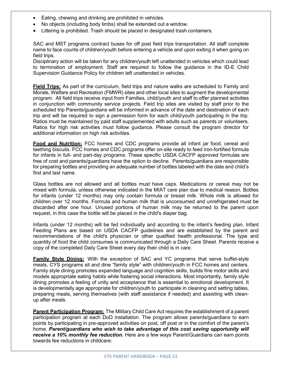- Eating, chewing and drinking are prohibited in vehicles.
- No objects (including body limbs) shall be extended out a window.
- Littering is prohibited. Trash should be placed in designated trash containers.

SAC and MST programs contract buses for off post field trips transportation. All staff complete name to face counts of children/youth before entering a vehicle and upon exiting it when going on field trips.

Disciplinary action will be taken for any children/youth left unattended in vehicles which could lead to termination of employment. Staff are required to follow the guidance in the ID-E Child Supervision Guidance Policy for children left unattended in vehicles.

**Field Trips:** As part of the curriculum, field trips and nature walks are scheduled to Family and Morale, Welfare and Recreation (FMWR) sites and other local sites to augment the developmental program. All field trips receive input from Families, child/youth and staff to offer planned activities in conjunction with community service projects. Field trip sites are visited by staff prior to the scheduled trip Parents/guardians will be informed in advance of the date and destination of each trip and will be required to sign a permission form for each child/youth participating in the trip. Ratios must be maintained by paid staff supplemented with adults such as parents or volunteers. Ratios for high risk activities must follow guidance. Please consult the program director for additional information on high risk activities.

**Food and Nutrition:** FCC homes and CDC programs provide all infant jar food, cereal and teething biscuits. FCC homes and CDC programs offer on-site ready to feed iron-fortified formula for infants in full- and part-day programs. These specific USDA CACFP approved formulas are free of cost and parents/guardians have the option to decline. Parents/guardians are responsible for preparing bottles and providing an adequate number of bottles labeled with the date and child's first and last name.

Glass bottles are not allowed and all bottles must have caps. Medications or cereal may not be mixed with formula, unless otherwise indicated in the MIAT care plan due to medical reason. Bottles for infants (under 12 months) may only contain formula or breast milk. Whole milk is allowed for children over 12 months. Formula and human milk that is unconsumed and unrefrigerated must be discarded after one hour. Unused portions of human milk may be returned to the parent upon request, in this case the bottle will be placed in the child's diaper bag.

Infants (under 12 months) will be fed individually and according to the infant's feeding plan. Infant Feeding Plans are based on USDA CACFP guidelines and are established by the parent and recommendations of the child's physician or other qualified health professional. The type and quantity of food the child consumes is communicated through a Daily Care Sheet. Parents receive a copy of the completed Daily Care Sheet every day their child is in care.

**Family Style Dining:** With the exception of SAC and YC programs that serve buffet-style meals, CYS programs sit and dine "family style" with children/youth in FCC homes and centers. Family style dining promotes expanded language and cognition skills, builds fine motor skills and models appropriate eating habits while fostering social interactions. Most importantly, family style dining promotes a feeling of unity and acceptance that is essential to emotional development. It is developmentally age appropriate for children/youth to participate in cleaning and setting tables, preparing meals, serving themselves (with staff assistance if needed) and assisting with cleanup after meals.

**Parent Participation Program:** The Military Child Care Act requires the establishment of a parent participation program at each DoD installation. The program allows parents/guardians to earn points by participating in pre-approved activities on post, off post or in the comfort of the parent's home. *Parent/guardians who wish to take advantage of this cost saving opportunity will receive a 10% monthly fee reduction.* Here are a few ways Parent/Guardians can earn points towards fee reductions in childcare: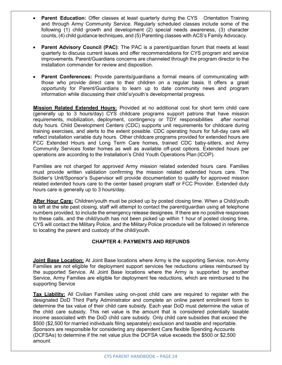- **Parent Education:** Offer classes at least quarterly during the CYS Orientation Training and through Army Community Service. Regularly scheduled classes include some of the following (1) child growth and development (2) special needs awareness, (3) character counts, (4) child guidance techniques, and (5) Parenting classes with ACS's Family Advocacy.
- **Parent Advisory Council (PAC)**: The PAC is a parent/guardian forum that meets at least quarterly to discuss current issues and offer recommendations for CYS program and service improvements. Parent/Guardians concerns are channeled through the program director to the installation commander for review and disposition.
- **Parent Conferences:** Provide parents/guardians a formal means of communicating with those who provide direct care to their children on a regular basis. It offers a great opportunity for Parent/Guardians to learn up to date community news and program information while discussing their child's/youth's developmental progress.

**Mission Related Extended Hours:** Provided at no additional cost for short term child care (generally up to 3 hours/day) CYS childcare programs support patrons that have mission requirements, mobilization, deployment, contingency or TDY responsibilities after normal duty hours. Child Development Centers (CDC) supports unit requirements for childcare during training exercises, and alerts to the extent possible. CDC operating hours for full-day care will reflect installation variable duty hours. Other childcare programs provided for extended hours are FCC Extended Hours and Long Term Care homes, trained CDC baby-sitters, and Army Community Services foster homes as well as available off-post options. Extended hours per operations are according to the Installation's Child Youth Operations Plan (ICOP).

Families are not charged for approved Army mission related extended hours care. Families must provide written validation confirming the mission related extended hours care. The Soldier's Unit/Sponsor's Supervisor will provide documentation to qualify for approved mission related extended hours care to the center based program staff or FCC Provider. Extended duty hours care is generally up to 3 hours/day.

**After Hour Care:** Children/youth must be picked up by posted closing time. When a Child/youth is left at the site past closing, staff will attempt to contact the parent/guardian using all telephone numbers provided, to include the emergency release designees. If there are no positive responses to these calls, and the child/youth has not been picked up within 1 hour of posted closing time, CYS will contact the Military Police, and the Military Police procedure will be followed in reference to locating the parent and custody of the child/youth.

# **CHAPTER 4: PAYMENTS AND REFUNDS**

**Joint Base Location:** At Joint Base locations where Army is the supporting Service, non-Army Families are not eligible for deployment support services fee reductions unless reimbursed by the supported Service. At Joint Base locations where the Army is supported by another Service, Army Families are eligible for deployment fee reductions, which are reimbursed to the supporting Service

**Tax Liability:** All Civilian Families using on-post child care are required to register with the designated DoD Third Party Administrator and complete an online parent enrollment form to determine the tax value of their child care subsidy. Each year DoD must determine the value of the child care subsidy. This net value is the amount that is considered potentially taxable income associated with the DoD child care subsidy. Only child care subsidies that exceed the \$500 (\$2,500 for married individuals filing separately) exclusion and taxable and reportable. Sponsors are responsible for considering any dependent Care flexible Spending Accounts (DCFSAs) to determine if the net value plus the DCFSA value exceeds the \$500 or \$2,500 amount.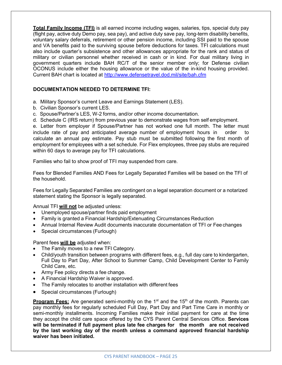**Total Family Income (TFI)** is all earned income including wages, salaries, tips, special duty pay (flight pay, active duty Demo pay, sea pay), and active duty save pay, long-term disability benefits, voluntary salary deferrals, retirement or other pension income, including SSI paid to the spouse and VA benefits paid to the surviving spouse before deductions for taxes. TFI calculations must also include quarter's subsistence and other allowances appropriate for the rank and status of military or civilian personnel whether received in cash or in kind. For dual military living in government quarters include BAH RC/T of the senior member only; for Defense civilian OCONUS include either the housing allowance or the value of the in-kind housing provided. Current BAH chart is located at <http://www.defensetravel.dod.mil/site/bah.cfm>

# **DOCUMENTATION NEEDED TO DETERMINE TFI:**

- a. Military Sponsor's current Leave and Earnings Statement (LES).
- b. Civilian Sponsor's current LES.
- c. Spouse/Partner's LES, W-2 forms, and/or other income documentation.
- d. Schedule C (IRS return) from previous year to demonstrate wages from self employment.

e. Letter from employer if Spouse/Partner has not worked one full month. The letter must include rate of pay and anticipated average number of employment hours in order to calculate an annual pay estimate. Pay stub must be submitted following the first month of employment for employees with a set schedule. For Flex employees, three pay stubs are required within 60 days to average pay for TFI calculations.

Families who fail to show proof of TFI may suspended from care.

Fees for Blended Families AND Fees for Legally Separated Families will be based on the TFI of the household.

Fees for Legally Separated Families are contingent on a legal separation document or a notarized statement stating the Sponsor is legally separated.

Annual TFI **will not** be adjusted unless:

- Unemployed spouse/partner finds paid employment
- Family is granted a Financial Hardship/Extenuating Circumstances Reduction
- Annual Internal Review Audit documents inaccurate documentation of TFI or Fee changes
- Special circumstances (Furlough)

#### Parent fees **will be** adjusted when:

- The Family moves to a new TFI Category.
- Child/youth transition between programs with different fees, e.g., full day care to kindergarten, Full Day to Part Day, After School to Summer Camp, Child Development Center to Family Child Care, etc.
- Army Fee policy directs a fee change.
- A Financial Hardship Waiver is approved.
- The Family relocates to another installation with different fees
- Special circumstances (Furlough)

**Program Fees:** Are generated semi-monthly on the 1<sup>st</sup> and the 15<sup>th</sup> of the month. Parents can pay monthly fees for regularly scheduled Full Day, Part Day and Part Time Care in monthly or semi-monthly installments. Incoming Families make their initial payment for care at the time they accept the child care space offered by the CYS Parent Central Services Office. **Services will be terminated if full payment plus late fee charges for the month are not received by the last working day of the month unless a command approved financial hardship waiver has been initiated.**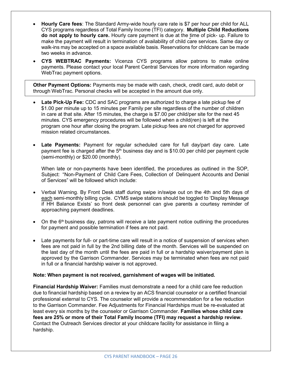- **Hourly Care fees**: The Standard Army-wide hourly care rate is \$7 per hour per child for ALL CYS programs regardless of Total Family Income (TFI) category. **Multiple Child Reductions do not apply to hourly care.** Hourly care payment is due at the time of pick- up. Failure to make the payment will result in termination of availability of child care services. Same day or walk-ins may be accepted on a space available basis. Reservations for childcare can be made two weeks in advance.
- **CYS WEBTRAC Payments:** Vicenza CYS programs allow patrons to make online payments. Please contact your local Parent Central Services for more information regarding WebTrac payment options.

**Other Payment Options:** Payments may be made with cash, check, credit card, auto debit or through WebTrac. Personal checks will be accepted in the amount due only.

- **Late Pick-Up Fee:** CDC and SAC programs are authorized to charge a late pickup fee of \$1.00 per minute up to 15 minutes per Family per site regardless of the number of children in care at that site. After 15 minutes, the charge is \$7.00 per child/per site for the next 45 minutes. CYS emergency procedures will be followed when a child(ren) is left at the program one hour after closing the program. Late pickup fees are not charged for approved mission related circumstances.
- **Late Payments:** Payment for regular scheduled care for full day/part day care. Late payment fee is charged after the  $5<sup>th</sup>$  business day and is \$10.00 per child per payment cycle (semi-monthly) or \$20.00 (monthly).

When late or non-payments have been identified, the procedures as outlined in the SOP, Subject: "Non-Payment of Child Care Fees, Collection of Delinquent Accounts and Denial of Services" will be followed which include:

- Verbal Warning. By Front Desk staff during swipe in/swipe out on the 4th and 5th days of each semi-monthly billing cycle. CYMS swipe stations should be toggled to 'Display Message if HH Balance Exists' so front desk personnel can give parents a courtesy reminder of approaching payment deadlines.
- On the  $6<sup>th</sup>$  business day, patrons will receive a late payment notice outlining the procedures for payment and possible termination if fees are not paid.
- Late payments for full- or part-time care will result in a notice of suspension of services when fees are not paid in full by the 2nd billing date of the month. Services will be suspended on the last day of the month until the fees are paid in full or a hardship waiver/payment plan is approved by the Garrison Commander. Services may be terminated when fees are not paid in full or a financial hardship waiver is not approved.

## **Note: When payment is not received, garnishment of wages will be initiated.**

**Financial Hardship Waiver:** Families must demonstrate a need for a child care fee reduction due to financial hardship based on a review by an ACS financial counselor or a certified financial professional external to CYS. The counselor will provide a recommendation for a fee reduction to the Garrison Commander. Fee Adjustments for Financial Hardships must be re-evaluated at least every six months by the counselor or Garrison Commander. **Families whose child care fees are 25% or more of their Total Family Income (TFI) may request a hardship review.** Contact the Outreach Services director at your childcare facility for assistance in filing a hardship.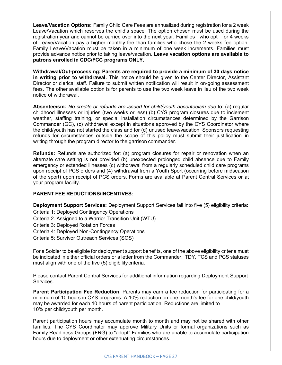**Leave/Vacation Options:** Family Child Care Fees are annualized during registration for a 2 week Leave/Vacation which reserves the child's space. The option chosen must be used during the registration year and cannot be carried over into the next year. Families who opt for 4 weeks of Leave/Vacation pay a higher monthly fee than families who chose the 2 weeks fee option. Family Leave/Vacation must be taken in a minimum of one week increments. Families must provide advance notice prior to taking leave/vacation. **Leave vacation options are available to patrons enrolled in CDC/FCC programs ONLY.**

**Withdrawal/Out-processing: Parents are required to provide a minimum of 30 days notice in writing prior to withdrawal.** This notice should be given to the Center Director, Assistant Director or clerical staff. Failure to submit written notification will result in on-going assessment fees. The other available option is for parents to use the two week leave in lieu of the two week notice of withdrawal.

**Absenteeism:** *No credits or refunds are issued for child/youth absenteeism due* to: (a) regular childhood illnesses or injuries (two weeks or less) (b) CYS program closures due to inclement weather, staffing training, or special installation circumstances determined by the Garrison Commander (GC), (c) withdrawal except in situations approved by the CYS Coordinator where the child/youth has not started the class and for (d) unused leave/vacation. Sponsors requesting refunds for circumstances outside the scope of this policy must submit their justification in writing through the program director to the garrison commander.

**Refunds:** Refunds are authorized for: (a) program closures for repair or renovation when an alternate care setting is not provided (b) unexpected prolonged child absence due to Family emergency or extended illnesses (c) withdrawal from a regularly scheduled child care programs upon receipt of PCS orders and (4) withdrawal from a Youth Sport (occurring before midseason of the sport) upon receipt of PCS orders. Forms are available at Parent Central Services or at your program facility.

# **PARENT FEE REDUCTIONS/INCENTIVES:**

**Deployment Support Services:** Deployment Support Services fall into five (5) eligibility criteria: Criteria 1: Deployed Contingency Operations

Criteria 2. Assigned to a Warrior Transition Unit (WTU)

Criteria 3: Deployed Rotation Forces

Criteria 4: Deployed Non-Contingency Operations

Criteria 5: Survivor Outreach Services (SOS)

For a Soldier to be eligible for deployment support benefits, one of the above eligibility criteria must be indicated in either official orders or a letter from the Commander. TDY, TCS and PCS statuses must align with one of the five (5) eligibility criteria.

Please contact Parent Central Services for additional information regarding Deployment Support Services.

**Parent Participation Fee Reduction**: Parents may earn a fee reduction for participating for a minimum of 10 hours in CYS programs. A 10% reduction on one month's fee for one child/youth may be awarded for each 10 hours of parent participation. Reductions are limited to 10% per child/youth per month.

Parent participation hours may accumulate month to month and may not be shared with other families. The CYS Coordinator may approve Military Units or formal organizations such as Family Readiness Groups (FRG) to "adopt" Families who are unable to accumulate participation hours due to deployment or other extenuating circumstances.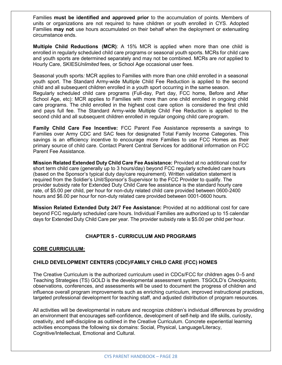Families **must be identified and approved prior** to the accumulation of points. Members of units or organizations are not required to have children or youth enrolled in CYS. Adopted Families **may not** use hours accumulated on their behalf when the deployment or extenuating circumstance ends.

**Multiple Child Reductions (MCR)**: A 15% MCR is applied when more than one child is enrolled in regularly scheduled child care programs or seasonal youth sports. MCRs for child care and youth sports are determined separately and may not be combined. MCRs are *not* applied to Hourly Care, SKIES*Unlimited* fees, or School Age occasional user fees.

Seasonal youth sports*:* MCR applies to Families with more than one child enrolled in a seasonal youth sport. The Standard Army-wide Multiple Child Fee Reduction is applied to the second child and all subsequent children enrolled in a youth sport occurring in the same season. Regularly scheduled child care programs (Full-day, Part day, FCC home, Before and After School Age, etc): MCR applies to Families with more than one child enrolled in ongoing child care programs. The child enrolled in the highest cost care option is considered the first child and pays full fee. The Standard Army-wide Multiple Child Fee Reduction is applied to the

**Family Child Care Fee Incentive:** FCC Parent Fee Assistance represents a savings to Families over Army CDC and SAC fees for designated Total Family Income Categories. This savings is an efficiency incentive to encourage more Families to use FCC Homes as their primary source of child care. Contact Parent Central Services for additional information on FCC Parent Fee Assistance.

second child and all subsequent children enrolled in regular ongoing child care program.

**Mission Related Extended Duty Child Care Fee Assistance:** Provided at no additional cost for short term child care (generally up to 3 hours/day) beyond FCC regularly scheduled care hours (based on the Sponsor's typical duty day/care requirement). Written validation statement is required from the Soldier's Unit/Sponsor's Supervisor to the FCC Provider to qualify. The provider subsidy rate for Extended Duty Child Care fee assistance is the standard hourly care rate, of \$5.00 per child, per hour for non-duty related child care provided between 0600-2400 hours and \$6.00 per hour for non-duty related care provided between 0001-0600 hours.

**Mission Related Extended Duty 24/7 Fee Assistance:** Provided at no additional cost for care beyond FCC regularly scheduled care hours. Individual Families are authorized up to 15 calendar days for Extended Duty Child Care per year. The provider subsidy rate is \$5.00 per child per hour.

# **CHAPTER 5 - CURRICULUM AND PROGRAMS**

## **CORE CURRICULUM:**

## **CHILD DEVELOPMENT CENTERS (CDC)/FAMILY CHILD CARE (FCC) HOMES**

The Creative Curriculum is the authorized curriculum used in CDCs/FCC for children ages 0–5 and Teaching Strategies (TS) GOLD is the developmental assessment system. TSGOLD's *Checkpoints,*  observations, conferences, and assessments will be used to document the progress of children and influence overall program improvements such as enriching curriculum, improved instructional practices, targeted professional development for teaching staff, and adjusted distribution of program resources.

All activities will be developmental in nature and recognize children's individual differences by providing an environment that encourages self-confidence, development of self-help and life skills, curiosity, creativity, and self-discipline as outlined in the Creative Curriculum. Concrete experiential learning activities encompass the following six domains: Social, Physical, Language/Literacy, Cognitive/Intellectual, Emotional and Cultural.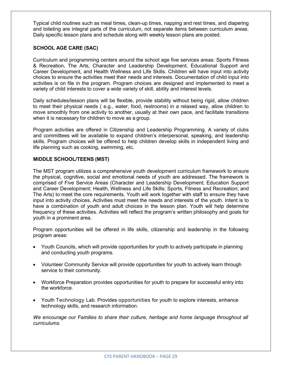Typical child routines such as meal times, clean-up times, napping and rest times, and diapering and toileting are integral parts of the curriculum, not separate items between curriculum areas. Daily specific lesson plans and schedule along with weekly lesson plans are posted.

# **SCHOOL AGE CARE (SAC)**

Curriculum and programming centers around the school age five services areas: Sports Fitness & Recreation, The Arts, Character and Leadership Development, Educational Support and Career Development, and Health Wellness and Life Skills. Children will have input into activity choices to ensure the activities meet their needs and interests. Documentation of child input into activities is on file in the program. Program choices are designed and implemented to meet a variety of child interests to cover a wide variety of skill, ability and interest levels.

Daily schedules/lesson plans will be flexible, provide stability without being rigid, allow children to meet their physical needs ( e.g., water, food, restrooms) in a relaxed way, allow children to move smoothly from one activity to another, usually at their own pace, and facilitate transitions when it is necessary for children to move as a group.

Program activities are offered in Citizenship and Leadership Programming. A variety of clubs and committees will be available to expand children's interpersonal, speaking, and leadership skills. Program choices will be offered to help children develop skills in independent living and life planning such as cooking, swimming, etc.

## **MIDDLE SCHOOL/TEENS (MST)**

The MST program utilizes a comprehensive youth development curriculum framework to ensure the physical, cognitive, social and emotional needs of youth are addressed. The framework is comprised of Five Service Areas (Character and Leadership Development; Education Support and Career Development; Health, Wellness and Life Skills; Sports, Fitness and Recreation; and The Arts) to meet the core requirements. Youth will work together with staff to ensure they have input into activity choices. Activities must meet the needs and interests of the youth. Intent is to have a combination of youth and adult choices in the lesson plan. Youth will help determine frequency of these activities. Activities will reflect the program's written philosophy and goals for youth in a prominent area.

Program opportunities will be offered in life skills, citizenship and leadership in the following program areas:

- Youth Councils, which will provide opportunities for youth to actively participate in planning and conducting youth programs.
- Volunteer Community Service will provide opportunities for youth to actively learn through service to their community.
- Workforce Preparation provides opportunities for youth to prepare for successful entry into the workforce.
- Youth Technology Lab. Provides opportunities for youth to explore interests, enhance technology skills, and research information.

*We encourage our Families to share their culture, heritage and home language throughout all curriculums.*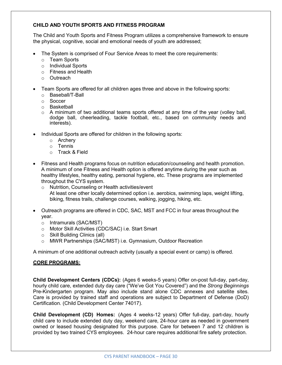# **CHILD AND YOUTH SPORTS AND FITNESS PROGRAM**

The Child and Youth Sports and Fitness Program utilizes a comprehensive framework to ensure the physical, cognitive, social and emotional needs of youth are addressed;

- The System is comprised of Four Service Areas to meet the core requirements:
	- o Team Sports
	- o Individual Sports
	- o Fitness and Health
	- o Outreach
- Team Sports are offered for all children ages three and above in the following sports:
	- o Baseball/T-Ball
	- o Soccer
	- o Basketball
	- $\circ$  A minimum of two additional teams sports offered at any time of the year (volley ball, dodge ball, cheerleading, tackle football, etc., based on community needs and interests).
- Individual Sports are offered for children in the following sports:
	- o Archery
	- o Tennis
	- o Track & Field
- Fitness and Health programs focus on nutrition education/counseling and health promotion. A minimum of one Fitness and Health option is offered anytime during the year such as healthy lifestyles, healthy eating, personal hygiene, etc. These programs are implemented throughout the CYS system.
	- o Nutrition, Counseling or Health activities/event At least one other locally determined option i.e. aerobics, swimming laps, weight lifting, biking, fitness trails, challenge courses, walking, jogging, hiking, etc.
- Outreach programs are offered in CDC, SAC, MST and FCC in four areas throughout the year.
	- o Intramurals (SAC/MST)
	- o Motor Skill Activities (CDC/SAC) i.e. Start Smart
	- o Skill Building Clinics (all)
	- o MWR Partnerships (SAC/MST) i.e. Gymnasium, Outdoor Recreation

A minimum of one additional outreach activity (usually a special event or camp) is offered.

# **CORE PROGRAMS:**

**Child Development Centers (CDCs):** (Ages 6 weeks-5 years) Offer on-post full-day, part-day, hourly child care, extended duty day care ("We've Got You Covered") and the *Strong Beginnings* Pre-Kindergarten program. May also include stand alone CDC annexes and satellite sites. Care is provided by trained staff and operations are subject to Department of Defense (DoD) Certification. (Child Development Center 74017).

**Child Development (CD) Homes:** (Ages 4 weeks-12 years) Offer full-day, part-day, hourly child care to include extended duty day, weekend care, 24-hour care as needed in government owned or leased housing designated for this purpose. Care for between 7 and 12 children is provided by two trained CYS employees. 24-hour care requires additional fire safety protection.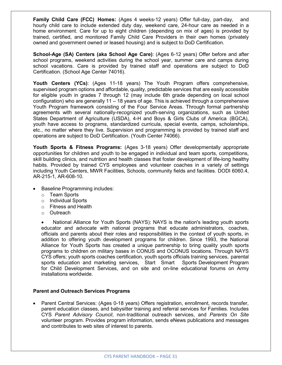**Family Child Care (FCC) Homes:** (Ages 4 weeks-12 years) Offer full-day, part-day, and hourly child care to include extended duty day, weekend care, 24-hour care as needed in a home environment. Care for up to eight children (depending on mix of ages) is provided by trained, certified, and monitored Family Child Care Providers in their own homes (privately owned and government owned or leased housing) and is subject to DoD Certification.

**School-Age (SA) Centers (aka School Age Care)**: (Ages 6-12 years) Offer before and after school programs, weekend activities during the school year, summer care and camps during school vacations. Care is provided by trained staff and operations are subject to DoD Certification. (School Age Center 74016).

**Youth Centers (YCs)**: (Ages 11-18 years) The Youth Program offers comprehensive, supervised program options and affordable, quality, predictable services that are easily accessible for eligible youth in grades 7 through 12 (may include 6th grade depending on local school configuration) who are generally 11 – 18 years of age. This is achieved through a comprehensive Youth Program framework consisting of the Four Service Areas. Through formal partnership agreements with several nationally-recognized youth-serving organizations, such as United States Department of Agriculture (USDA), 4-H and Boys & Girls Clubs of America (BGCA), youth have access to programs, standardized curricula, special events, camps, scholarships, etc., no matter where they live. Supervision and programming is provided by trained staff and operations are subject to DoD Certification. (Youth Center 74066).

**Youth Sports & Fitness Programs:** (Ages 3-18 years) Offer developmentally appropriate opportunities for children and youth to be engaged in individual and team sports, competitions, skill building clinics, and nutrition and health classes that foster development of life-long healthy habits. Provided by trained CYS employees and volunteer coaches in a variety of settings including Youth Centers, MWR Facilities, Schools, community fields and facilities. DODI 6060.4, AR-215-1, AR-608-10.

- Baseline Programming includes:
	- o Team Sports
	- o Individual Sports
	- o Fitness and Health
	- o Outreach

• National Alliance for Youth Sports (NAYS): NAYS is the nation's leading youth sports educator and advocate with national programs that educate administrators, coaches, officials and parents about their roles and responsibilities in the context of youth sports, in addition to offering youth development programs for children. Since 1993, the National Alliance for Youth Sports has created a unique partnership to bring quality youth sports programs to children on military bases in CONUS and OCONUS locations. Through NAYS CYS offers; youth sports coaches certification, youth sports officials training services, parental sports education and marketing services, Start Smart Sports Development Program for Child Development Services, and on site and on-line educational forums on Army installations worldwide.

#### **Parent and Outreach Services Programs**

• Parent Central Services: (Ages 0-18 years) Offers registration, enrollment, records transfer, parent education classes, and babysitter training and referral services for Families. Includes CYS *Parent Advisory Council*, non-traditional outreach services, and *Parents On Site* volunteer program. Provides program information, sends eNews publications and messages and contributes to web sites of interest to parents.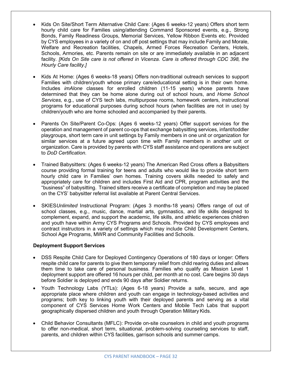- Kids On Site/Short Term Alternative Child Care: (Ages 6 weeks-12 years) Offers short term hourly child care for Families using/attending Command Sponsored events, e.g., Strong Bonds, Family Readiness Groups, Memorial Services, Yellow Ribbon Events etc. Provided by CYS employees in a variety of on and off post settings that may include Family and Morale, Welfare and Recreation facilities, Chapels, Armed Forces Recreation Centers, Hotels, Schools, Armories, etc. Parents remain on site or are immediately available in an adjacent facility. *[Kids On Site care is not offered in Vicenza. Care is offered through CDC 398, the Hourly Care facility.]*
- Kids At Home: (Ages 6 weeks-18 years) Offers non-traditional outreach services to support Families with children/youth whose primary care/educational setting is in their own home. Includes *imAlone* classes for enrolled children (11-15 years) whose parents have determined that they can be home alone during out of school hours, and *Home School Services,* e.g., use of CYS tech labs, multipurpose rooms, homework centers, instructional programs for educational purposes during school hours (when facilities are not in use) by children/youth who are home schooled and accompanied by their parents.
- Parents On Site/Parent Co-Ops: (Ages 6 weeks-12 years) Offer support services for the operation and management of parent co-ops that exchange babysitting services, infant/toddler playgroups, short term care in unit settings by Family members in one unit or organization for similar services at a future agreed upon time with Family members in another unit or organization. Care is provided by parents with CYS staff assistance and operations are subject to *DoD Certification.*
- Trained Babysitters: (Ages 6 weeks-12 years) The American Red Cross offers a Babysitters course providing formal training for teens and adults who would like to provide short term hourly child care in Families' own homes. Training covers skills needed to safely and appropriately care for children and includes First Aid and CPR, program activities and the "business" of babysitting. Trained sitters receive a certificate of completion and may be placed on the CYS' babysitter referral list available at Parent Central Services.
- SKIES*Unlimited* Instructional Program: (Ages 3 months-18 years) Offers range of out of school classes, e.g., music, dance, martial arts, gymnastics, and life skills designed to complement, expand, and support the academic, life skills, and athletic experiences children and youth have within Army CYS Programs and Schools. Provided by CYS employees and contract instructors in a variety of settings which may include Child Development Centers, School Age Programs, MWR and Community Facilities and Schools.

## **Deployment Support Services**

- DSS Respite Child Care for Deployed Contingency Operations of 180 days or longer: Offers respite child care for parents to give them temporary relief from child rearing duties and allows them time to take care of personal business. Families who qualify as Mission Level 1 deployment support are offered 16 hours per child, per month at no cost. Care begins 30 days before Soldier is deployed and ends 90 days after Soldier returns.
- Youth Technology Labs (YTLs): (Ages 6-18 years) Provide a safe, secure, and age appropriate place where children and youth can engage in technology-based activities and programs; both key to linking youth with their deployed parents and serving as a vital component of CYS Services Home Work Centers and Mobile Tech Labs that support geographically dispersed children and youth through Operation Military Kids.
- Child Behavior Consultants (MFLC): Provide on-site counselors in child and youth programs to offer non-medical, short term, situational, problem-solving counseling services to staff, parents, and children within CYS facilities, garrison schools and summer camps.